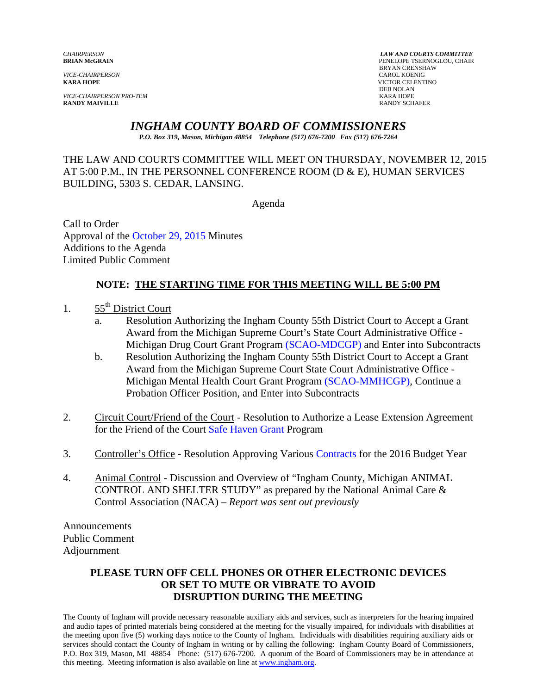*VICE-CHAIRPERSON*<br>**KARA HOPE** 

*VICE-CHAIRPERSON PRO-TEM* KARA HOPE

*CHAIRPERSON LAW AND COURTS COMMITTEE* **PENELOPE TSERNOGLOU, CHAIR** BRYAN CRENSHAW<br>CAROL KOENIG **KARA HOPE** VICTOR CELENTINO DEB NOLAN **RANDY SCHAFER** 

# *INGHAM COUNTY BOARD OF COMMISSIONERS*

*P.O. Box 319, Mason, Michigan 48854 Telephone (517) 676-7200 Fax (517) 676-7264*

# THE LAW AND COURTS COMMITTEE WILL MEET ON THURSDAY, NOVEMBER 12, 2015 AT 5:00 P.M., IN THE PERSONNEL CONFERENCE ROOM (D & E), HUMAN SERVICES BUILDING, 5303 S. CEDAR, LANSING.

Agenda

Call to Order Approval o[f the October 29, 2015](#page-1-0) Minutes Additions to the Agenda Limited Public Comment

# **NOTE: THE STARTING TIME FOR THIS MEETING WILL BE 5:00 PM**

1.  $55<sup>th</sup>$  District Court

- a. Resolution Authorizing the Ingham County 55th District Court to Accept a Grant Award from the Michigan Supre[me Court's State Court Adm](#page-6-0)inistrative Office - Michigan Drug Court Grant Program (SCAO-MDCGP) and Enter into Subcontracts
- b. Resolution Authorizing the Ingham County 55th District Court to Accept a Grant Award from the Michigan Supreme Court State Court Administrative Office - Michigan Mental Health Court Grant Program [\(SCAO-MMHCGP\), Continu](#page-9-0)e a Probation Officer Position, and Enter into Subcontracts
- 2. Circuit Court/Friend of the Court Resolution to Authorize a Lease Extension Agreement for the Friend of the Co[urt Safe Haven Grant Pro](#page-12-0)gram
- 3. Controller's Office Resolution Approving Variou[s Contracts for the 201](#page-15-0)6 Budget Year
- 4. Animal Control Discussion and Overview of "Ingham County, Michigan ANIMAL CONTROL AND SHELTER STUDY" as prepared by the National Animal Care & Control Association (NACA) – *Report was sent out previously*

Announcements Public Comment Adjournment

### **PLEASE TURN OFF CELL PHONES OR OTHER ELECTRONIC DEVICES OR SET TO MUTE OR VIBRATE TO AVOID DISRUPTION DURING THE MEETING**

The County of Ingham will provide necessary reasonable auxiliary aids and services, such as interpreters for the hearing impaired and audio tapes of printed materials being considered at the meeting for the visually impaired, for individuals with disabilities at the meeting upon five (5) working days notice to the County of Ingham. Individuals with disabilities requiring auxiliary aids or services should contact the County of Ingham in writing or by calling the following: Ingham County Board of Commissioners, P.O. Box 319, Mason, MI 48854 Phone: (517) 676-7200. A quorum of the Board of Commissioners may be in attendance at this meeting. Meeting information is also available on line at www.ingham.org.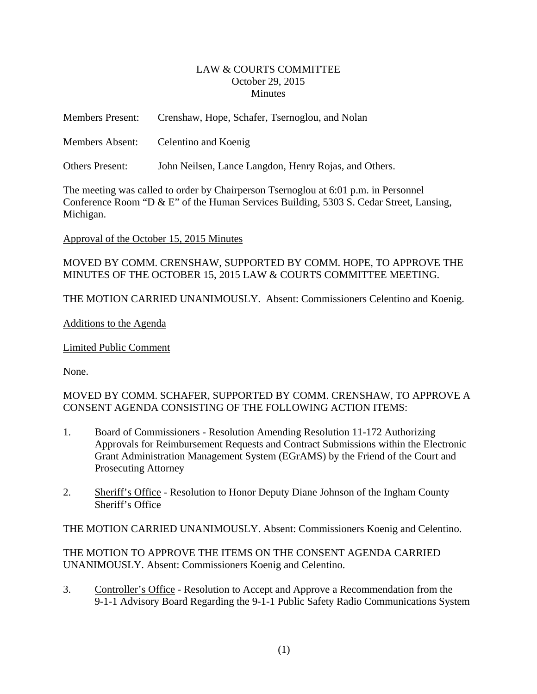### LAW & COURTS COMMITTEE October 29, 2015 **Minutes**

<span id="page-1-0"></span>

| <b>Members Present:</b> | Crenshaw, Hope, Schafer, Tsernoglou, and Nolan        |
|-------------------------|-------------------------------------------------------|
| <b>Members Absent:</b>  | Celentino and Koenig                                  |
| <b>Others Present:</b>  | John Neilsen, Lance Langdon, Henry Rojas, and Others. |

The meeting was called to order by Chairperson Tsernoglou at 6:01 p.m. in Personnel Conference Room "D & E" of the Human Services Building, 5303 S. Cedar Street, Lansing, Michigan.

### Approval of the October 15, 2015 Minutes

MOVED BY COMM. CRENSHAW, SUPPORTED BY COMM. HOPE, TO APPROVE THE MINUTES OF THE OCTOBER 15, 2015 LAW & COURTS COMMITTEE MEETING.

THE MOTION CARRIED UNANIMOUSLY. Absent: Commissioners Celentino and Koenig.

### Additions to the Agenda

Limited Public Comment

None.

# MOVED BY COMM. SCHAFER, SUPPORTED BY COMM. CRENSHAW, TO APPROVE A CONSENT AGENDA CONSISTING OF THE FOLLOWING ACTION ITEMS:

- 1. Board of Commissioners Resolution Amending Resolution 11-172 Authorizing Approvals for Reimbursement Requests and Contract Submissions within the Electronic Grant Administration Management System (EGrAMS) by the Friend of the Court and Prosecuting Attorney
- 2. Sheriff's Office Resolution to Honor Deputy Diane Johnson of the Ingham County Sheriff's Office

THE MOTION CARRIED UNANIMOUSLY. Absent: Commissioners Koenig and Celentino.

THE MOTION TO APPROVE THE ITEMS ON THE CONSENT AGENDA CARRIED UNANIMOUSLY. Absent: Commissioners Koenig and Celentino.

3. Controller's Office - Resolution to Accept and Approve a Recommendation from the 9-1-1 Advisory Board Regarding the 9-1-1 Public Safety Radio Communications System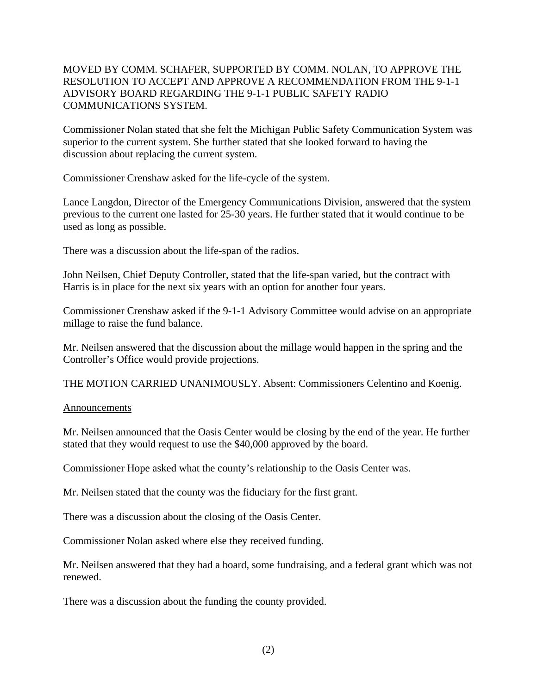# MOVED BY COMM. SCHAFER, SUPPORTED BY COMM. NOLAN, TO APPROVE THE RESOLUTION TO ACCEPT AND APPROVE A RECOMMENDATION FROM THE 9-1-1 ADVISORY BOARD REGARDING THE 9-1-1 PUBLIC SAFETY RADIO COMMUNICATIONS SYSTEM.

Commissioner Nolan stated that she felt the Michigan Public Safety Communication System was superior to the current system. She further stated that she looked forward to having the discussion about replacing the current system.

Commissioner Crenshaw asked for the life-cycle of the system.

Lance Langdon, Director of the Emergency Communications Division, answered that the system previous to the current one lasted for 25-30 years. He further stated that it would continue to be used as long as possible.

There was a discussion about the life-span of the radios.

John Neilsen, Chief Deputy Controller, stated that the life-span varied, but the contract with Harris is in place for the next six years with an option for another four years.

Commissioner Crenshaw asked if the 9-1-1 Advisory Committee would advise on an appropriate millage to raise the fund balance.

Mr. Neilsen answered that the discussion about the millage would happen in the spring and the Controller's Office would provide projections.

THE MOTION CARRIED UNANIMOUSLY. Absent: Commissioners Celentino and Koenig.

### **Announcements**

Mr. Neilsen announced that the Oasis Center would be closing by the end of the year. He further stated that they would request to use the \$40,000 approved by the board.

Commissioner Hope asked what the county's relationship to the Oasis Center was.

Mr. Neilsen stated that the county was the fiduciary for the first grant.

There was a discussion about the closing of the Oasis Center.

Commissioner Nolan asked where else they received funding.

Mr. Neilsen answered that they had a board, some fundraising, and a federal grant which was not renewed.

There was a discussion about the funding the county provided.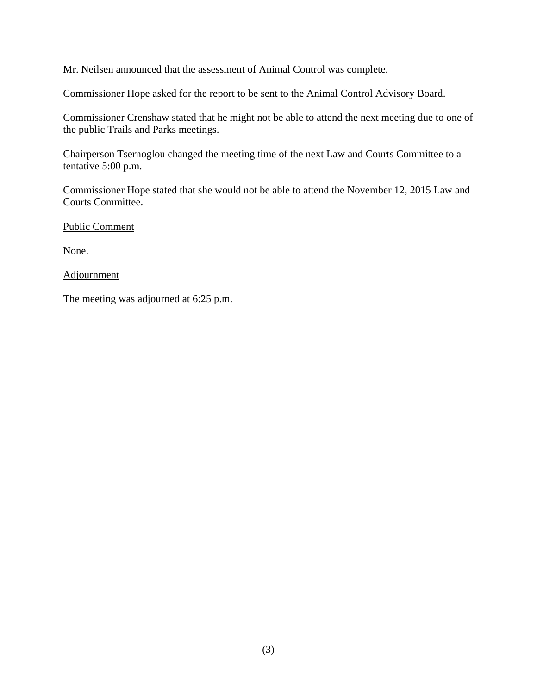Mr. Neilsen announced that the assessment of Animal Control was complete.

Commissioner Hope asked for the report to be sent to the Animal Control Advisory Board.

Commissioner Crenshaw stated that he might not be able to attend the next meeting due to one of the public Trails and Parks meetings.

Chairperson Tsernoglou changed the meeting time of the next Law and Courts Committee to a tentative 5:00 p.m.

Commissioner Hope stated that she would not be able to attend the November 12, 2015 Law and Courts Committee.

Public Comment

None.

### **Adjournment**

The meeting was adjourned at 6:25 p.m.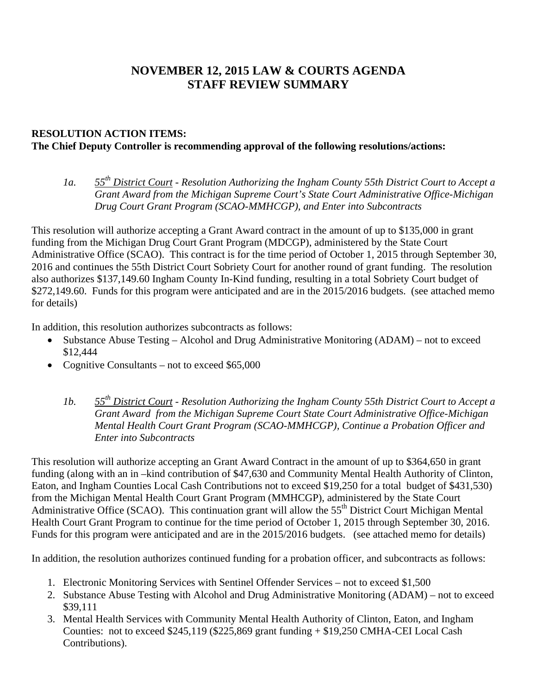# **NOVEMBER 12, 2015 LAW & COURTS AGENDA STAFF REVIEW SUMMARY**

# **RESOLUTION ACTION ITEMS: The Chief Deputy Controller is recommending approval of the following resolutions/actions:**

*1a. 55th District Court - Resolution Authorizing the Ingham County 55th District Court to Accept a Grant Award from the Michigan Supreme Court's State Court Administrative Office-Michigan Drug Court Grant Program (SCAO-MMHCGP), and Enter into Subcontracts* 

This resolution will authorize accepting a Grant Award contract in the amount of up to \$135,000 in grant funding from the Michigan Drug Court Grant Program (MDCGP), administered by the State Court Administrative Office (SCAO). This contract is for the time period of October 1, 2015 through September 30, 2016 and continues the 55th District Court Sobriety Court for another round of grant funding. The resolution also authorizes \$137,149.60 Ingham County In-Kind funding, resulting in a total Sobriety Court budget of \$272,149.60. Funds for this program were anticipated and are in the 2015/2016 budgets. (see attached memo for details)

In addition, this resolution authorizes subcontracts as follows:

- Substance Abuse Testing Alcohol and Drug Administrative Monitoring (ADAM) not to exceed \$12,444
- Cognitive Consultants not to exceed \$65,000
	- *1b. 55th District Court Resolution Authorizing the Ingham County 55th District Court to Accept a Grant Award from the Michigan Supreme Court State Court Administrative Office-Michigan Mental Health Court Grant Program (SCAO-MMHCGP), Continue a Probation Officer and Enter into Subcontracts*

This resolution will authorize accepting an Grant Award Contract in the amount of up to \$364,650 in grant funding (along with an in –kind contribution of \$47,630 and Community Mental Health Authority of Clinton, Eaton, and Ingham Counties Local Cash Contributions not to exceed \$19,250 for a total budget of \$431,530) from the Michigan Mental Health Court Grant Program (MMHCGP), administered by the State Court Administrative Office (SCAO). This continuation grant will allow the  $55<sup>th</sup>$  District Court Michigan Mental Health Court Grant Program to continue for the time period of October 1, 2015 through September 30, 2016. Funds for this program were anticipated and are in the 2015/2016 budgets. (see attached memo for details)

In addition, the resolution authorizes continued funding for a probation officer, and subcontracts as follows:

- 1. Electronic Monitoring Services with Sentinel Offender Services not to exceed \$1,500
- 2. Substance Abuse Testing with Alcohol and Drug Administrative Monitoring (ADAM) not to exceed \$39,111
- 3. Mental Health Services with Community Mental Health Authority of Clinton, Eaton, and Ingham Counties: not to exceed \$245,119 (\$225,869 grant funding + \$19,250 CMHA-CEI Local Cash Contributions).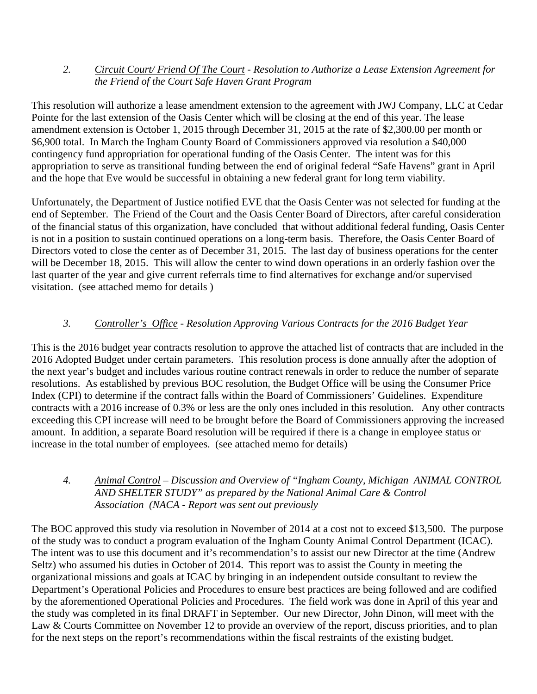# *2. Circuit Court/ Friend Of The Court - Resolution to Authorize a Lease Extension Agreement for the Friend of the Court Safe Haven Grant Program*

This resolution will authorize a lease amendment extension to the agreement with JWJ Company, LLC at Cedar Pointe for the last extension of the Oasis Center which will be closing at the end of this year. The lease amendment extension is October 1, 2015 through December 31, 2015 at the rate of \$2,300.00 per month or \$6,900 total. In March the Ingham County Board of Commissioners approved via resolution a \$40,000 contingency fund appropriation for operational funding of the Oasis Center. The intent was for this appropriation to serve as transitional funding between the end of original federal "Safe Havens" grant in April and the hope that Eve would be successful in obtaining a new federal grant for long term viability.

Unfortunately, the Department of Justice notified EVE that the Oasis Center was not selected for funding at the end of September. The Friend of the Court and the Oasis Center Board of Directors, after careful consideration of the financial status of this organization, have concluded that without additional federal funding, Oasis Center is not in a position to sustain continued operations on a long-term basis. Therefore, the Oasis Center Board of Directors voted to close the center as of December 31, 2015. The last day of business operations for the center will be December 18, 2015. This will allow the center to wind down operations in an orderly fashion over the last quarter of the year and give current referrals time to find alternatives for exchange and/or supervised visitation. (see attached memo for details )

# *3. Controller's Office - Resolution Approving Various Contracts for the 2016 Budget Year*

This is the 2016 budget year contracts resolution to approve the attached list of contracts that are included in the 2016 Adopted Budget under certain parameters. This resolution process is done annually after the adoption of the next year's budget and includes various routine contract renewals in order to reduce the number of separate resolutions. As established by previous BOC resolution, the Budget Office will be using the Consumer Price Index (CPI) to determine if the contract falls within the Board of Commissioners' Guidelines. Expenditure contracts with a 2016 increase of 0.3% or less are the only ones included in this resolution. Any other contracts exceeding this CPI increase will need to be brought before the Board of Commissioners approving the increased amount. In addition, a separate Board resolution will be required if there is a change in employee status or increase in the total number of employees. (see attached memo for details)

# *4. Animal Control – Discussion and Overview of "Ingham County, Michigan ANIMAL CONTROL AND SHELTER STUDY" as prepared by the National Animal Care & Control Association (NACA - Report was sent out previously*

The BOC approved this study via resolution in November of 2014 at a cost not to exceed \$13,500. The purpose of the study was to conduct a program evaluation of the Ingham County Animal Control Department (ICAC). The intent was to use this document and it's recommendation's to assist our new Director at the time (Andrew Seltz) who assumed his duties in October of 2014. This report was to assist the County in meeting the organizational missions and goals at ICAC by bringing in an independent outside consultant to review the Department's Operational Policies and Procedures to ensure best practices are being followed and are codified by the aforementioned Operational Policies and Procedures. The field work was done in April of this year and the study was completed in its final DRAFT in September. Our new Director, John Dinon, will meet with the Law & Courts Committee on November 12 to provide an overview of the report, discuss priorities, and to plan for the next steps on the report's recommendations within the fiscal restraints of the existing budget.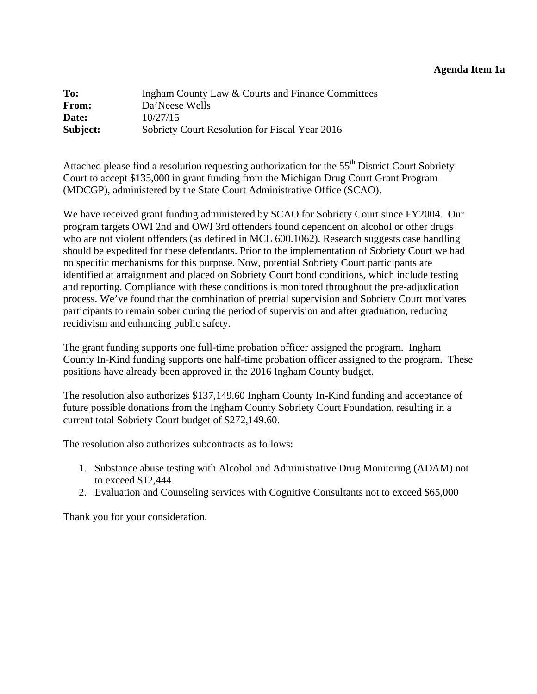<span id="page-6-0"></span>

| To:          | Ingham County Law & Courts and Finance Committees |
|--------------|---------------------------------------------------|
| <b>From:</b> | Da'Neese Wells                                    |
| Date:        | 10/27/15                                          |
| Subject:     | Sobriety Court Resolution for Fiscal Year 2016    |

Attached please find a resolution requesting authorization for the  $55<sup>th</sup>$  District Court Sobriety Court to accept \$135,000 in grant funding from the Michigan Drug Court Grant Program (MDCGP), administered by the State Court Administrative Office (SCAO).

We have received grant funding administered by SCAO for Sobriety Court since FY2004. Our program targets OWI 2nd and OWI 3rd offenders found dependent on alcohol or other drugs who are not violent offenders (as defined in MCL 600.1062). Research suggests case handling should be expedited for these defendants. Prior to the implementation of Sobriety Court we had no specific mechanisms for this purpose. Now, potential Sobriety Court participants are identified at arraignment and placed on Sobriety Court bond conditions, which include testing and reporting. Compliance with these conditions is monitored throughout the pre-adjudication process. We've found that the combination of pretrial supervision and Sobriety Court motivates participants to remain sober during the period of supervision and after graduation, reducing recidivism and enhancing public safety.

The grant funding supports one full-time probation officer assigned the program. Ingham County In-Kind funding supports one half-time probation officer assigned to the program. These positions have already been approved in the 2016 Ingham County budget.

The resolution also authorizes \$137,149.60 Ingham County In-Kind funding and acceptance of future possible donations from the Ingham County Sobriety Court Foundation, resulting in a current total Sobriety Court budget of \$272,149.60.

The resolution also authorizes subcontracts as follows:

- 1. Substance abuse testing with Alcohol and Administrative Drug Monitoring (ADAM) not to exceed \$12,444
- 2. Evaluation and Counseling services with Cognitive Consultants not to exceed \$65,000

Thank you for your consideration.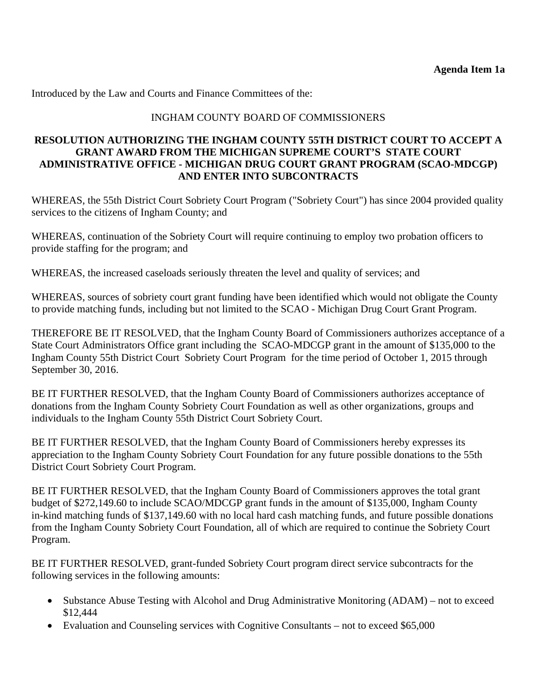Introduced by the Law and Courts and Finance Committees of the:

### INGHAM COUNTY BOARD OF COMMISSIONERS

### **RESOLUTION AUTHORIZING THE INGHAM COUNTY 55TH DISTRICT COURT TO ACCEPT A GRANT AWARD FROM THE MICHIGAN SUPREME COURT'S STATE COURT ADMINISTRATIVE OFFICE - MICHIGAN DRUG COURT GRANT PROGRAM (SCAO-MDCGP) AND ENTER INTO SUBCONTRACTS**

WHEREAS, the 55th District Court Sobriety Court Program ("Sobriety Court") has since 2004 provided quality services to the citizens of Ingham County; and

WHEREAS, continuation of the Sobriety Court will require continuing to employ two probation officers to provide staffing for the program; and

WHEREAS, the increased caseloads seriously threaten the level and quality of services; and

WHEREAS, sources of sobriety court grant funding have been identified which would not obligate the County to provide matching funds, including but not limited to the SCAO - Michigan Drug Court Grant Program.

THEREFORE BE IT RESOLVED, that the Ingham County Board of Commissioners authorizes acceptance of a State Court Administrators Office grant including the SCAO-MDCGP grant in the amount of \$135,000 to the Ingham County 55th District Court Sobriety Court Program for the time period of October 1, 2015 through September 30, 2016.

BE IT FURTHER RESOLVED, that the Ingham County Board of Commissioners authorizes acceptance of donations from the Ingham County Sobriety Court Foundation as well as other organizations, groups and individuals to the Ingham County 55th District Court Sobriety Court.

BE IT FURTHER RESOLVED, that the Ingham County Board of Commissioners hereby expresses its appreciation to the Ingham County Sobriety Court Foundation for any future possible donations to the 55th District Court Sobriety Court Program.

BE IT FURTHER RESOLVED, that the Ingham County Board of Commissioners approves the total grant budget of \$272,149.60 to include SCAO/MDCGP grant funds in the amount of \$135,000, Ingham County in-kind matching funds of \$137,149.60 with no local hard cash matching funds, and future possible donations from the Ingham County Sobriety Court Foundation, all of which are required to continue the Sobriety Court Program.

BE IT FURTHER RESOLVED, grant-funded Sobriety Court program direct service subcontracts for the following services in the following amounts:

- Substance Abuse Testing with Alcohol and Drug Administrative Monitoring (ADAM) not to exceed \$12,444
- Evaluation and Counseling services with Cognitive Consultants not to exceed \$65,000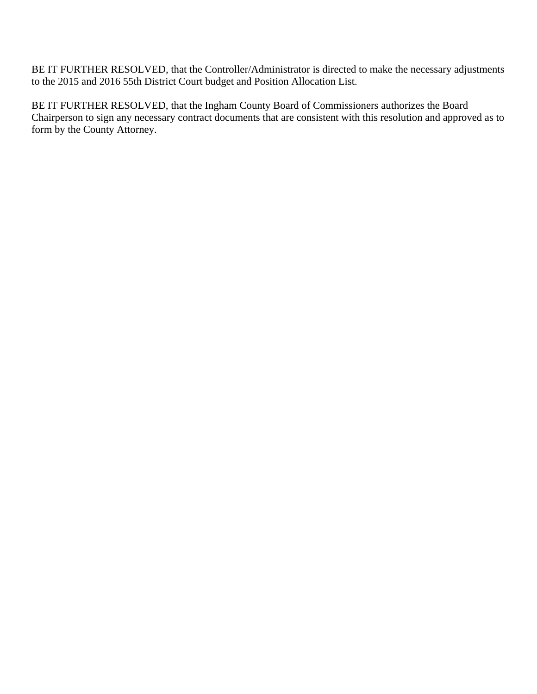BE IT FURTHER RESOLVED, that the Controller/Administrator is directed to make the necessary adjustments to the 2015 and 2016 55th District Court budget and Position Allocation List.

BE IT FURTHER RESOLVED, that the Ingham County Board of Commissioners authorizes the Board Chairperson to sign any necessary contract documents that are consistent with this resolution and approved as to form by the County Attorney.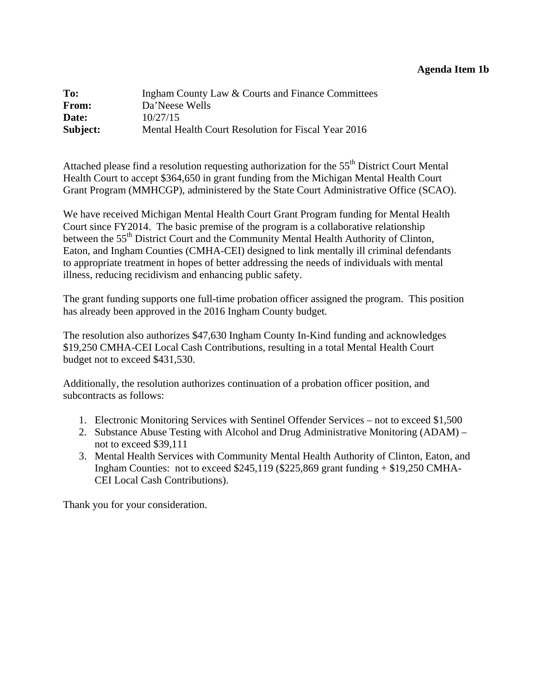### **Agenda Item 1b**

<span id="page-9-0"></span>

| To:          | Ingham County Law & Courts and Finance Committees   |
|--------------|-----------------------------------------------------|
| <b>From:</b> | Da'Neese Wells                                      |
| Date:        | 10/27/15                                            |
| Subject:     | Mental Health Court Resolution for Fiscal Year 2016 |

Attached please find a resolution requesting authorization for the 55<sup>th</sup> District Court Mental Health Court to accept \$364,650 in grant funding from the Michigan Mental Health Court Grant Program (MMHCGP), administered by the State Court Administrative Office (SCAO).

We have received Michigan Mental Health Court Grant Program funding for Mental Health Court since FY2014. The basic premise of the program is a collaborative relationship between the 55<sup>th</sup> District Court and the Community Mental Health Authority of Clinton, Eaton, and Ingham Counties (CMHA-CEI) designed to link mentally ill criminal defendants to appropriate treatment in hopes of better addressing the needs of individuals with mental illness, reducing recidivism and enhancing public safety.

The grant funding supports one full-time probation officer assigned the program. This position has already been approved in the 2016 Ingham County budget.

The resolution also authorizes \$47,630 Ingham County In-Kind funding and acknowledges \$19,250 CMHA-CEI Local Cash Contributions, resulting in a total Mental Health Court budget not to exceed \$431,530.

Additionally, the resolution authorizes continuation of a probation officer position, and subcontracts as follows:

- 1. Electronic Monitoring Services with Sentinel Offender Services not to exceed \$1,500
- 2. Substance Abuse Testing with Alcohol and Drug Administrative Monitoring (ADAM) not to exceed \$39,111
- 3. Mental Health Services with Community Mental Health Authority of Clinton, Eaton, and Ingham Counties: not to exceed \$245,119 (\$225,869 grant funding + \$19,250 CMHA-CEI Local Cash Contributions).

Thank you for your consideration.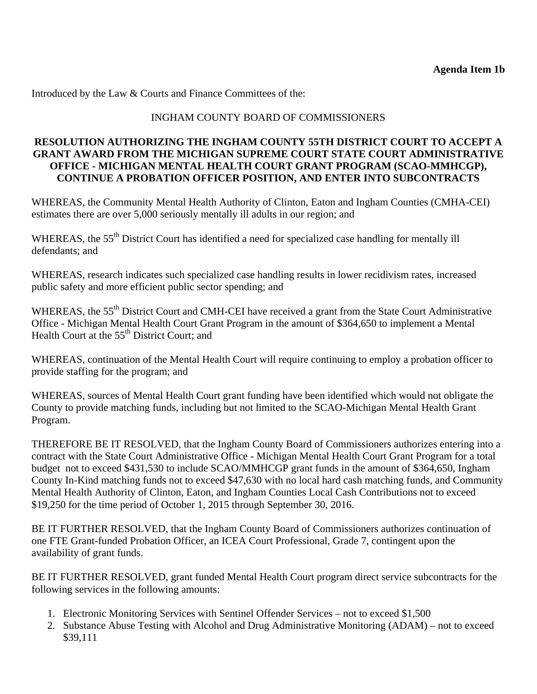Introduced by the Law & Courts and Finance Committees of the:

# INGHAM COUNTY BOARD OF COMMISSIONERS

# **RESOLUTION AUTHORIZING THE INGHAM COUNTY 55TH DISTRICT COURT TO ACCEPT A GRANT AWARD FROM THE MICHIGAN SUPREME COURT STATE COURT ADMINISTRATIVE OFFICE - MICHIGAN MENTAL HEALTH COURT GRANT PROGRAM (SCAO-MMHCGP), CONTINUE A PROBATION OFFICER POSITION, AND ENTER INTO SUBCONTRACTS**

WHEREAS, the Community Mental Health Authority of Clinton, Eaton and Ingham Counties (CMHA-CEI) estimates there are over 5,000 seriously mentally ill adults in our region; and

WHEREAS, the 55<sup>th</sup> District Court has identified a need for specialized case handling for mentally ill defendants; and

WHEREAS, research indicates such specialized case handling results in lower recidivism rates, increased public safety and more efficient public sector spending; and

WHEREAS, the 55<sup>th</sup> District Court and CMH-CEI have received a grant from the State Court Administrative Office - Michigan Mental Health Court Grant Program in the amount of \$364,650 to implement a Mental Health Court at the  $55<sup>th</sup>$  District Court; and

WHEREAS, continuation of the Mental Health Court will require continuing to employ a probation officer to provide staffing for the program; and

WHEREAS, sources of Mental Health Court grant funding have been identified which would not obligate the County to provide matching funds, including but not limited to the SCAO-Michigan Mental Health Grant Program.

THEREFORE BE IT RESOLVED, that the Ingham County Board of Commissioners authorizes entering into a contract with the State Court Administrative Office - Michigan Mental Health Court Grant Program for a total budget not to exceed \$431,530 to include SCAO/MMHCGP grant funds in the amount of \$364,650, Ingham County In-Kind matching funds not to exceed \$47,630 with no local hard cash matching funds, and Community Mental Health Authority of Clinton, Eaton, and Ingham Counties Local Cash Contributions not to exceed \$19,250 for the time period of October 1, 2015 through September 30, 2016.

BE IT FURTHER RESOLVED, that the Ingham County Board of Commissioners authorizes continuation of one FTE Grant-funded Probation Officer, an ICEA Court Professional, Grade 7, contingent upon the availability of grant funds.

BE IT FURTHER RESOLVED, grant funded Mental Health Court program direct service subcontracts for the following services in the following amounts:

- 1. Electronic Monitoring Services with Sentinel Offender Services not to exceed \$1,500
- 2. Substance Abuse Testing with Alcohol and Drug Administrative Monitoring (ADAM) not to exceed \$39,111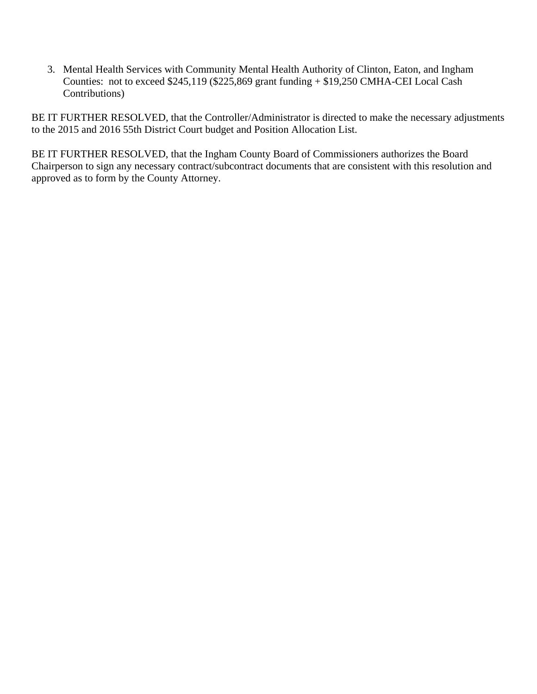3. Mental Health Services with Community Mental Health Authority of Clinton, Eaton, and Ingham Counties: not to exceed \$245,119 (\$225,869 grant funding + \$19,250 CMHA-CEI Local Cash Contributions)

BE IT FURTHER RESOLVED, that the Controller/Administrator is directed to make the necessary adjustments to the 2015 and 2016 55th District Court budget and Position Allocation List.

BE IT FURTHER RESOLVED, that the Ingham County Board of Commissioners authorizes the Board Chairperson to sign any necessary contract/subcontract documents that are consistent with this resolution and approved as to form by the County Attorney.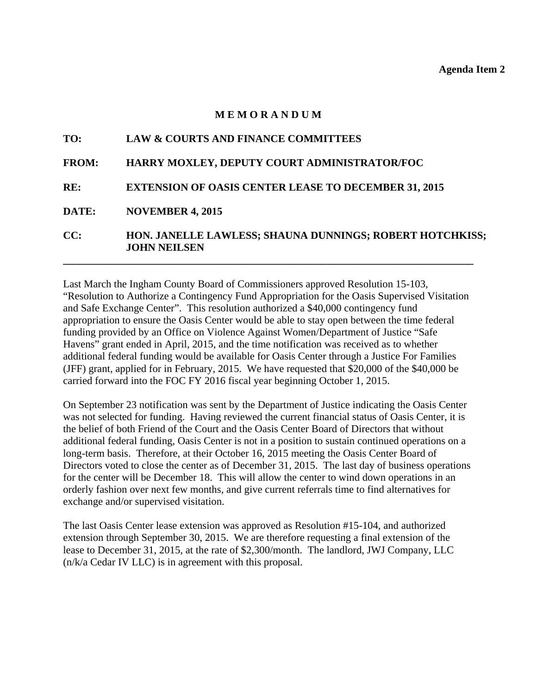#### **M E M O R A N D U M**

<span id="page-12-0"></span>

| <b>LAW &amp; COURTS AND FINANCE COMMITTEES</b>                                  |
|---------------------------------------------------------------------------------|
| HARRY MOXLEY, DEPUTY COURT ADMINISTRATOR/FOC                                    |
| <b>EXTENSION OF OASIS CENTER LEASE TO DECEMBER 31, 2015</b>                     |
| <b>NOVEMBER 4, 2015</b>                                                         |
| HON. JANELLE LAWLESS; SHAUNA DUNNINGS; ROBERT HOTCHKISS;<br><b>JOHN NEILSEN</b> |
|                                                                                 |

Last March the Ingham County Board of Commissioners approved Resolution 15-103, "Resolution to Authorize a Contingency Fund Appropriation for the Oasis Supervised Visitation and Safe Exchange Center". This resolution authorized a \$40,000 contingency fund appropriation to ensure the Oasis Center would be able to stay open between the time federal funding provided by an Office on Violence Against Women/Department of Justice "Safe Havens" grant ended in April, 2015, and the time notification was received as to whether additional federal funding would be available for Oasis Center through a Justice For Families (JFF) grant, applied for in February, 2015. We have requested that \$20,000 of the \$40,000 be carried forward into the FOC FY 2016 fiscal year beginning October 1, 2015.

On September 23 notification was sent by the Department of Justice indicating the Oasis Center was not selected for funding. Having reviewed the current financial status of Oasis Center, it is the belief of both Friend of the Court and the Oasis Center Board of Directors that without additional federal funding, Oasis Center is not in a position to sustain continued operations on a long-term basis. Therefore, at their October 16, 2015 meeting the Oasis Center Board of Directors voted to close the center as of December 31, 2015. The last day of business operations for the center will be December 18. This will allow the center to wind down operations in an orderly fashion over next few months, and give current referrals time to find alternatives for exchange and/or supervised visitation.

The last Oasis Center lease extension was approved as Resolution #15-104, and authorized extension through September 30, 2015. We are therefore requesting a final extension of the lease to December 31, 2015, at the rate of \$2,300/month. The landlord, JWJ Company, LLC (n/k/a Cedar IV LLC) is in agreement with this proposal.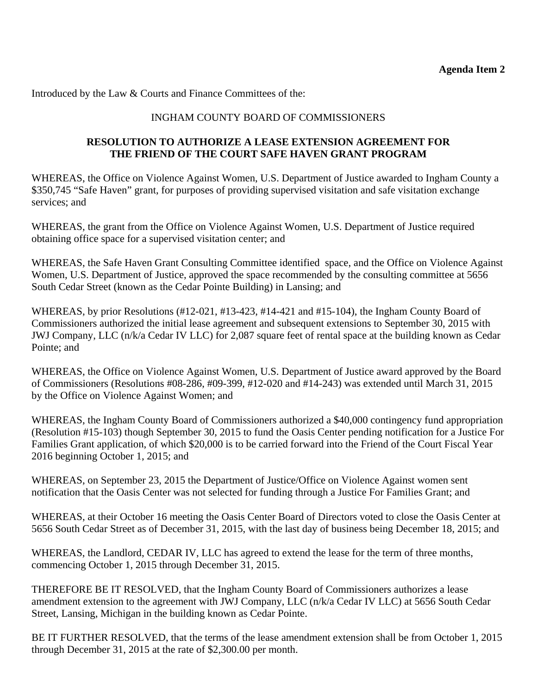Introduced by the Law & Courts and Finance Committees of the:

# INGHAM COUNTY BOARD OF COMMISSIONERS

# **RESOLUTION TO AUTHORIZE A LEASE EXTENSION AGREEMENT FOR THE FRIEND OF THE COURT SAFE HAVEN GRANT PROGRAM**

WHEREAS, the Office on Violence Against Women, U.S. Department of Justice awarded to Ingham County a \$350,745 "Safe Haven" grant, for purposes of providing supervised visitation and safe visitation exchange services; and

WHEREAS, the grant from the Office on Violence Against Women, U.S. Department of Justice required obtaining office space for a supervised visitation center; and

WHEREAS, the Safe Haven Grant Consulting Committee identified space, and the Office on Violence Against Women, U.S. Department of Justice, approved the space recommended by the consulting committee at 5656 South Cedar Street (known as the Cedar Pointe Building) in Lansing; and

WHEREAS, by prior Resolutions (#12-021, #13-423, #14-421 and #15-104), the Ingham County Board of Commissioners authorized the initial lease agreement and subsequent extensions to September 30, 2015 with JWJ Company, LLC (n/k/a Cedar IV LLC) for 2,087 square feet of rental space at the building known as Cedar Pointe; and

WHEREAS, the Office on Violence Against Women, U.S. Department of Justice award approved by the Board of Commissioners (Resolutions #08-286, #09-399, #12-020 and #14-243) was extended until March 31, 2015 by the Office on Violence Against Women; and

WHEREAS, the Ingham County Board of Commissioners authorized a \$40,000 contingency fund appropriation (Resolution #15-103) though September 30, 2015 to fund the Oasis Center pending notification for a Justice For Families Grant application, of which \$20,000 is to be carried forward into the Friend of the Court Fiscal Year 2016 beginning October 1, 2015; and

WHEREAS, on September 23, 2015 the Department of Justice/Office on Violence Against women sent notification that the Oasis Center was not selected for funding through a Justice For Families Grant; and

WHEREAS, at their October 16 meeting the Oasis Center Board of Directors voted to close the Oasis Center at 5656 South Cedar Street as of December 31, 2015, with the last day of business being December 18, 2015; and

WHEREAS, the Landlord, CEDAR IV, LLC has agreed to extend the lease for the term of three months, commencing October 1, 2015 through December 31, 2015.

THEREFORE BE IT RESOLVED, that the Ingham County Board of Commissioners authorizes a lease amendment extension to the agreement with JWJ Company, LLC (n/k/a Cedar IV LLC) at 5656 South Cedar Street, Lansing, Michigan in the building known as Cedar Pointe.

BE IT FURTHER RESOLVED, that the terms of the lease amendment extension shall be from October 1, 2015 through December 31, 2015 at the rate of \$2,300.00 per month.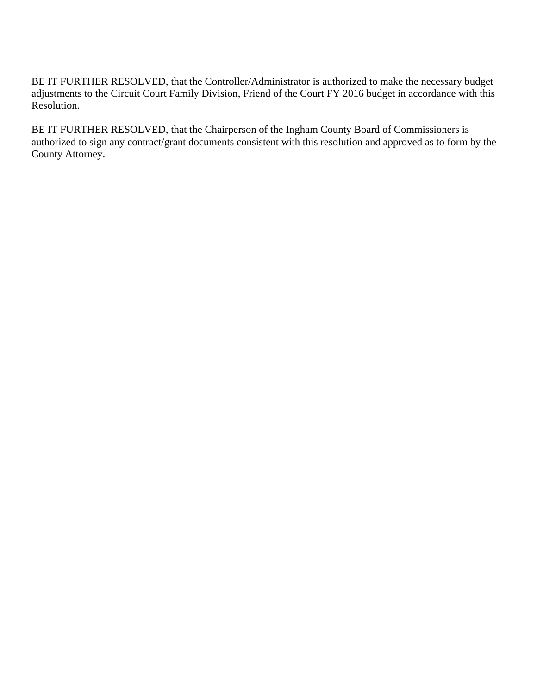BE IT FURTHER RESOLVED, that the Controller/Administrator is authorized to make the necessary budget adjustments to the Circuit Court Family Division, Friend of the Court FY 2016 budget in accordance with this Resolution.

BE IT FURTHER RESOLVED, that the Chairperson of the Ingham County Board of Commissioners is authorized to sign any contract/grant documents consistent with this resolution and approved as to form by the County Attorney.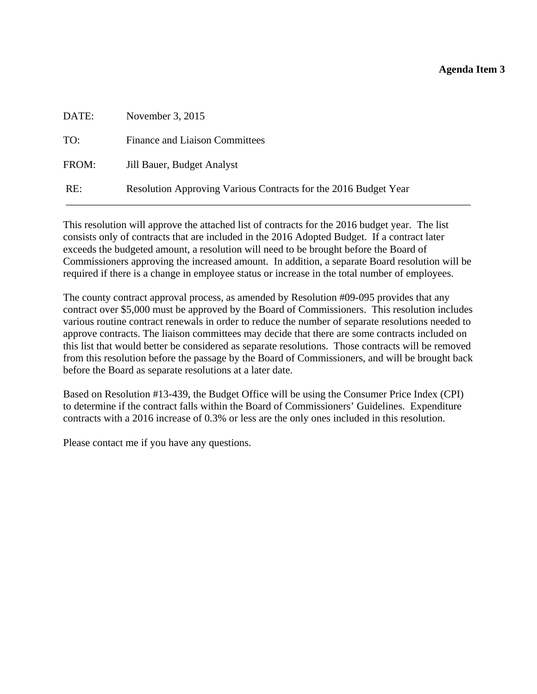### **Agenda Item 3**

<span id="page-15-0"></span>

| DATE: | November $3, 2015$                                              |
|-------|-----------------------------------------------------------------|
| TO:   | <b>Finance and Liaison Committees</b>                           |
| FROM: | Jill Bauer, Budget Analyst                                      |
| RE:   | Resolution Approving Various Contracts for the 2016 Budget Year |

This resolution will approve the attached list of contracts for the 2016 budget year. The list consists only of contracts that are included in the 2016 Adopted Budget. If a contract later exceeds the budgeted amount, a resolution will need to be brought before the Board of Commissioners approving the increased amount. In addition, a separate Board resolution will be required if there is a change in employee status or increase in the total number of employees.

The county contract approval process, as amended by Resolution #09-095 provides that any contract over \$5,000 must be approved by the Board of Commissioners. This resolution includes various routine contract renewals in order to reduce the number of separate resolutions needed to approve contracts. The liaison committees may decide that there are some contracts included on this list that would better be considered as separate resolutions. Those contracts will be removed from this resolution before the passage by the Board of Commissioners, and will be brought back before the Board as separate resolutions at a later date.

Based on Resolution #13-439, the Budget Office will be using the Consumer Price Index (CPI) to determine if the contract falls within the Board of Commissioners' Guidelines. Expenditure contracts with a 2016 increase of 0.3% or less are the only ones included in this resolution.

Please contact me if you have any questions.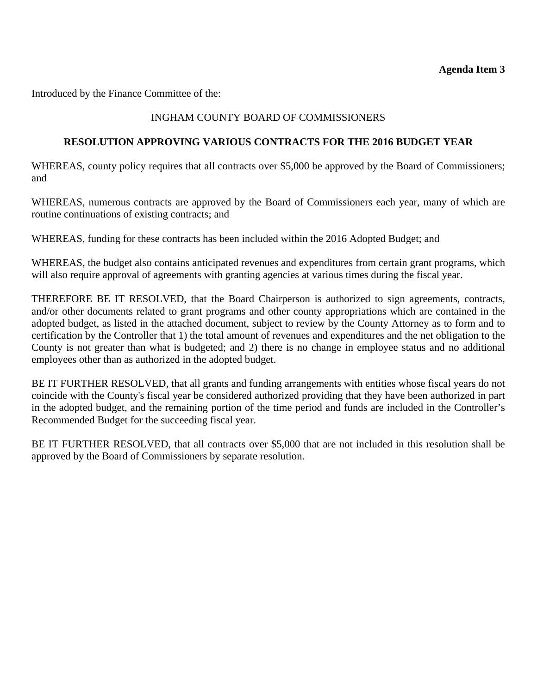Introduced by the Finance Committee of the:

# INGHAM COUNTY BOARD OF COMMISSIONERS

### **RESOLUTION APPROVING VARIOUS CONTRACTS FOR THE 2016 BUDGET YEAR**

WHEREAS, county policy requires that all contracts over \$5,000 be approved by the Board of Commissioners; and

WHEREAS, numerous contracts are approved by the Board of Commissioners each year, many of which are routine continuations of existing contracts; and

WHEREAS, funding for these contracts has been included within the 2016 Adopted Budget; and

WHEREAS, the budget also contains anticipated revenues and expenditures from certain grant programs, which will also require approval of agreements with granting agencies at various times during the fiscal year.

THEREFORE BE IT RESOLVED, that the Board Chairperson is authorized to sign agreements, contracts, and/or other documents related to grant programs and other county appropriations which are contained in the adopted budget, as listed in the attached document, subject to review by the County Attorney as to form and to certification by the Controller that 1) the total amount of revenues and expenditures and the net obligation to the County is not greater than what is budgeted; and 2) there is no change in employee status and no additional employees other than as authorized in the adopted budget.

BE IT FURTHER RESOLVED, that all grants and funding arrangements with entities whose fiscal years do not coincide with the County's fiscal year be considered authorized providing that they have been authorized in part in the adopted budget, and the remaining portion of the time period and funds are included in the Controller's Recommended Budget for the succeeding fiscal year.

BE IT FURTHER RESOLVED, that all contracts over \$5,000 that are not included in this resolution shall be approved by the Board of Commissioners by separate resolution.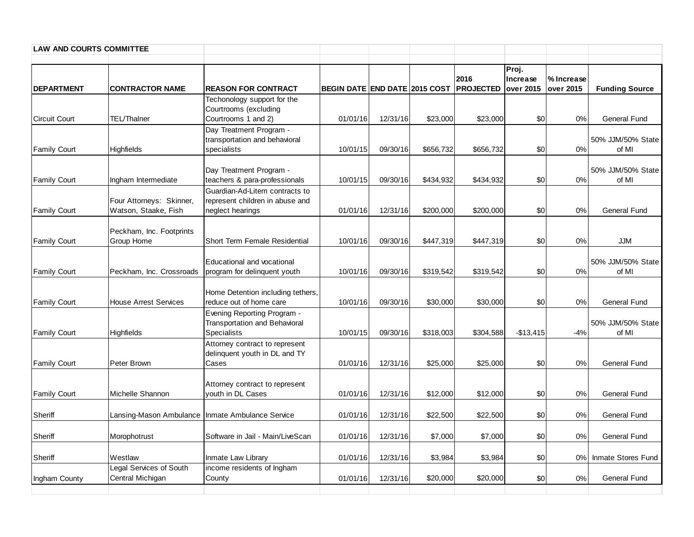| <b>LAW AND COURTS COMMITTEE</b> |                                                  |                                                                                       |                                      |          |           |                                    |                   |                         |                            |
|---------------------------------|--------------------------------------------------|---------------------------------------------------------------------------------------|--------------------------------------|----------|-----------|------------------------------------|-------------------|-------------------------|----------------------------|
| <b>DEPARTMENT</b>               | <b>CONTRACTOR NAME</b>                           | <b>REASON FOR CONTRACT</b>                                                            | <b>BEGIN DATE END DATE 2015 COST</b> |          |           | 2016<br><b>PROJECTED</b> over 2015 | Proj.<br>Increase | % Increase<br>over 2015 | <b>Funding Source</b>      |
| <b>Circuit Court</b>            | TEL/Thalner                                      | Techonology support for the<br>Courtrooms (excluding<br>Courtrooms 1 and 2)           | 01/01/16                             | 12/31/16 | \$23,000  | \$23,000                           | \$0               | 0%                      | General Fund               |
| <b>Family Court</b>             | Highfields                                       | Day Treatment Program -<br>transportation and behavioral<br>specialists               | 10/01/15                             | 09/30/16 | \$656,732 | \$656,732                          | \$0               | $0\%$                   | 50% JJM/50% State<br>of MI |
| <b>Family Court</b>             | Ingham Intermediate                              | Day Treatment Program -<br>teachers & para-professionals                              | 10/01/15                             | 09/30/16 | \$434,932 | \$434,932                          | \$0               | $0\%$                   | 50% JJM/50% State<br>of MI |
| <b>Family Court</b>             | Four Attorneys: Skinner,<br>Watson, Staake, Fish | Guardian-Ad-Litem contracts to<br>represent children in abuse and<br>neglect hearings | 01/01/16                             | 12/31/16 | \$200,000 | \$200,000                          | \$0               | 0%                      | <b>General Fund</b>        |
| <b>Family Court</b>             | Peckham, Inc. Footprints<br>Group Home           | Short Term Female Residential                                                         | 10/01/16                             | 09/30/16 | \$447,319 | \$447,319                          | \$0               | 0%                      | <b>JJM</b>                 |
| <b>Family Court</b>             | Peckham, Inc. Crossroads                         | Educational and vocational<br>program for delinquent youth                            | 10/01/16                             | 09/30/16 | \$319,542 | \$319,542                          | \$0               | 0%                      | 50% JJM/50% State<br>of MI |
| <b>Family Court</b>             | <b>House Arrest Services</b>                     | Home Detention including tethers<br>reduce out of home care                           | 10/01/16                             | 09/30/16 | \$30,000  | \$30,000                           | \$0               | 0%                      | General Fund               |
| <b>Family Court</b>             | Highfields                                       | Evening Reporting Program -<br>Transportation and Behavioral<br>Specialists           | 10/01/15                             | 09/30/16 | \$318,003 | \$304,588                          | $-$13,415$        | $-4%$                   | 50% JJM/50% State<br>of MI |
| <b>Family Court</b>             | Peter Brown                                      | Attorney contract to represent<br>delinquent youth in DL and TY<br>Cases              | 01/01/16                             | 12/31/16 | \$25,000  | \$25,000                           | \$0               | 0%                      | <b>General Fund</b>        |
| <b>Family Court</b>             | Michelle Shannon                                 | Attorney contract to represent<br>youth in DL Cases                                   | 01/01/16                             | 12/31/16 | \$12,000  | \$12,000                           | \$0               | 0%                      | General Fund               |
| Sheriff                         |                                                  | Lansing-Mason Ambulance   Inmate Ambulance Service                                    | 01/01/16                             | 12/31/16 | \$22,500  | \$22,500                           | \$0               | 0%                      | <b>General Fund</b>        |
| Sheriff                         | Morophotrust                                     | Software in Jail - Main/LiveScan                                                      | 01/01/16                             | 12/31/16 | \$7,000   | \$7,000                            | \$0               | 0%                      | General Fund               |
| Sheriff                         | Westlaw                                          | Inmate Law Library                                                                    | 01/01/16                             | 12/31/16 | \$3,984   | \$3,984                            | \$0               |                         | 0% Inmate Stores Fund      |
| Ingham County                   | Legal Services of South<br>Central Michigan      | income residents of Ingham<br>County                                                  | 01/01/16                             | 12/31/16 | \$20,000  | \$20,000                           | \$0               | 0%                      | <b>General Fund</b>        |